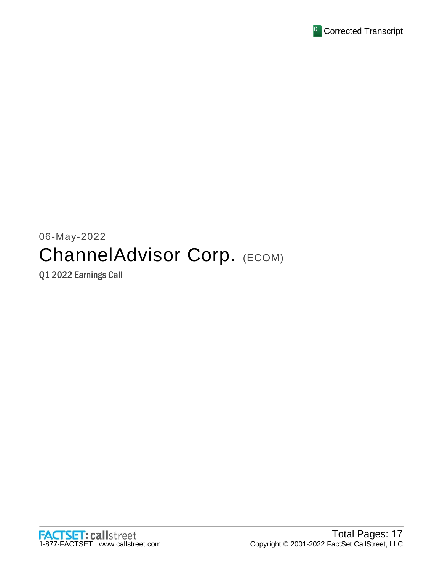

# 06-May-2022 ChannelAdvisor Corp. (ECOM)

Q1 2022 Earnings Call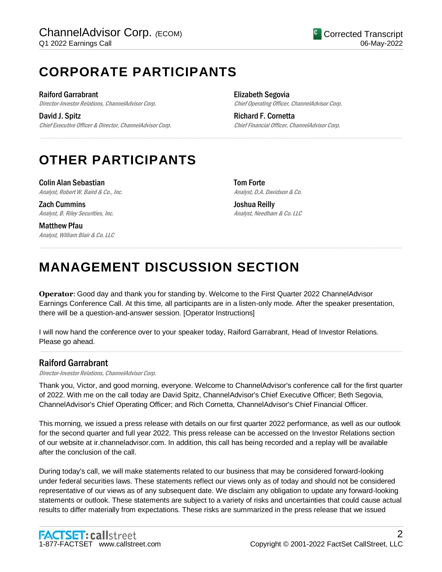## **CORPORATE PARTICIPANTS**

Raiford Garrabrant Director-Investor Relations, ChannelAdvisor Corp.

David J. Spitz Chief Executive Officer & Director, ChannelAdvisor Corp. Elizabeth Segovia Chief Operating Officer, ChannelAdvisor Corp.

Richard F. Cornetta Chief Financial Officer, ChannelAdvisor Corp.

## **OTHER PARTICIPANTS**

Colin Alan Sebastian Analyst, Robert W. Baird & Co., Inc.

Zach Cummins Analyst, B. Riley Securities, Inc.

Matthew Pfau Analyst, William Blair & Co. LLC Tom Forte Analyst, D.A. Davidson & Co.

Joshua Reilly Analyst, Needham & Co. LLC

## **MANAGEMENT DISCUSSION SECTION**

**Operator**: Good day and thank you for standing by. Welcome to the First Quarter 2022 ChannelAdvisor Earnings Conference Call. At this time, all participants are in a listen-only mode. After the speaker presentation, there will be a question-and-answer session. [Operator Instructions]

.....................................................................................................................................................................................................................................................................

.....................................................................................................................................................................................................................................................................

I will now hand the conference over to your speaker today, Raiford Garrabrant, Head of Investor Relations. Please go ahead.

## Raiford Garrabrant

Director-Investor Relations, ChannelAdvisor Corp.

Thank you, Victor, and good morning, everyone. Welcome to ChannelAdvisor's conference call for the first quarter of 2022. With me on the call today are David Spitz, ChannelAdvisor's Chief Executive Officer; Beth Segovia, ChannelAdvisor's Chief Operating Officer; and Rich Cornetta, ChannelAdvisor's Chief Financial Officer.

.....................................................................................................................................................................................................................................................................

This morning, we issued a press release with details on our first quarter 2022 performance, as well as our outlook for the second quarter and full year 2022. This press release can be accessed on the Investor Relations section of our website at ir.channeladvisor.com. In addition, this call has being recorded and a replay will be available after the conclusion of the call.

During today's call, we will make statements related to our business that may be considered forward-looking under federal securities laws. These statements reflect our views only as of today and should not be considered representative of our views as of any subsequent date. We disclaim any obligation to update any forward-looking statements or outlook. These statements are subject to a variety of risks and uncertainties that could cause actual results to differ materially from expectations. These risks are summarized in the press release that we issued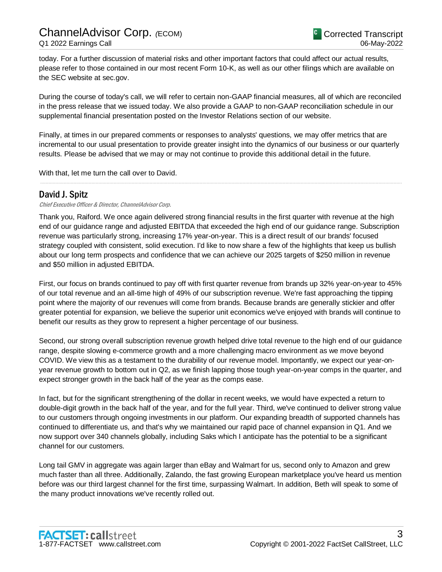today. For a further discussion of material risks and other important factors that could affect our actual results, please refer to those contained in our most recent Form 10-K, as well as our other filings which are available on the SEC website at sec.gov.

During the course of today's call, we will refer to certain non-GAAP financial measures, all of which are reconciled in the press release that we issued today. We also provide a GAAP to non-GAAP reconciliation schedule in our supplemental financial presentation posted on the Investor Relations section of our website.

Finally, at times in our prepared comments or responses to analysts' questions, we may offer metrics that are incremental to our usual presentation to provide greater insight into the dynamics of our business or our quarterly results. Please be advised that we may or may not continue to provide this additional detail in the future.

.....................................................................................................................................................................................................................................................................

With that, let me turn the call over to David.

## David J. Spitz

#### Chief Executive Officer & Director, ChannelAdvisor Corp.

Thank you, Raiford. We once again delivered strong financial results in the first quarter with revenue at the high end of our guidance range and adjusted EBITDA that exceeded the high end of our guidance range. Subscription revenue was particularly strong, increasing 17% year-on-year. This is a direct result of our brands' focused strategy coupled with consistent, solid execution. I'd like to now share a few of the highlights that keep us bullish about our long term prospects and confidence that we can achieve our 2025 targets of \$250 million in revenue and \$50 million in adjusted EBITDA.

First, our focus on brands continued to pay off with first quarter revenue from brands up 32% year-on-year to 45% of our total revenue and an all-time high of 49% of our subscription revenue. We're fast approaching the tipping point where the majority of our revenues will come from brands. Because brands are generally stickier and offer greater potential for expansion, we believe the superior unit economics we've enjoyed with brands will continue to benefit our results as they grow to represent a higher percentage of our business.

Second, our strong overall subscription revenue growth helped drive total revenue to the high end of our guidance range, despite slowing e-commerce growth and a more challenging macro environment as we move beyond COVID. We view this as a testament to the durability of our revenue model. Importantly, we expect our year-onyear revenue growth to bottom out in Q2, as we finish lapping those tough year-on-year comps in the quarter, and expect stronger growth in the back half of the year as the comps ease.

In fact, but for the significant strengthening of the dollar in recent weeks, we would have expected a return to double-digit growth in the back half of the year, and for the full year. Third, we've continued to deliver strong value to our customers through ongoing investments in our platform. Our expanding breadth of supported channels has continued to differentiate us, and that's why we maintained our rapid pace of channel expansion in Q1. And we now support over 340 channels globally, including Saks which I anticipate has the potential to be a significant channel for our customers.

Long tail GMV in aggregate was again larger than eBay and Walmart for us, second only to Amazon and grew much faster than all three. Additionally, Zalando, the fast growing European marketplace you've heard us mention before was our third largest channel for the first time, surpassing Walmart. In addition, Beth will speak to some of the many product innovations we've recently rolled out.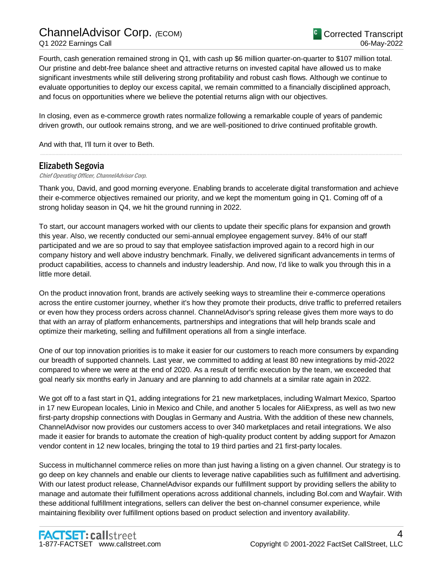Fourth, cash generation remained strong in Q1, with cash up \$6 million quarter-on-quarter to \$107 million total. Our pristine and debt-free balance sheet and attractive returns on invested capital have allowed us to make significant investments while still delivering strong profitability and robust cash flows. Although we continue to evaluate opportunities to deploy our excess capital, we remain committed to a financially disciplined approach, and focus on opportunities where we believe the potential returns align with our objectives.

In closing, even as e-commerce growth rates normalize following a remarkable couple of years of pandemic driven growth, our outlook remains strong, and we are well-positioned to drive continued profitable growth.

And with that, I'll turn it over to Beth.

## Elizabeth Segovia

Chief Operating Officer, ChannelAdvisor Corp.

Thank you, David, and good morning everyone. Enabling brands to accelerate digital transformation and achieve their e-commerce objectives remained our priority, and we kept the momentum going in Q1. Coming off of a strong holiday season in Q4, we hit the ground running in 2022.

.....................................................................................................................................................................................................................................................................

To start, our account managers worked with our clients to update their specific plans for expansion and growth this year. Also, we recently conducted our semi-annual employee engagement survey. 84% of our staff participated and we are so proud to say that employee satisfaction improved again to a record high in our company history and well above industry benchmark. Finally, we delivered significant advancements in terms of product capabilities, access to channels and industry leadership. And now, I'd like to walk you through this in a little more detail.

On the product innovation front, brands are actively seeking ways to streamline their e-commerce operations across the entire customer journey, whether it's how they promote their products, drive traffic to preferred retailers or even how they process orders across channel. ChannelAdvisor's spring release gives them more ways to do that with an array of platform enhancements, partnerships and integrations that will help brands scale and optimize their marketing, selling and fulfillment operations all from a single interface.

One of our top innovation priorities is to make it easier for our customers to reach more consumers by expanding our breadth of supported channels. Last year, we committed to adding at least 80 new integrations by mid-2022 compared to where we were at the end of 2020. As a result of terrific execution by the team, we exceeded that goal nearly six months early in January and are planning to add channels at a similar rate again in 2022.

We got off to a fast start in Q1, adding integrations for 21 new marketplaces, including Walmart Mexico, Spartoo in 17 new European locales, Linio in Mexico and Chile, and another 5 locales for AliExpress, as well as two new first-party dropship connections with Douglas in Germany and Austria. With the addition of these new channels, ChannelAdvisor now provides our customers access to over 340 marketplaces and retail integrations. We also made it easier for brands to automate the creation of high-quality product content by adding support for Amazon vendor content in 12 new locales, bringing the total to 19 third parties and 21 first-party locales.

Success in multichannel commerce relies on more than just having a listing on a given channel. Our strategy is to go deep on key channels and enable our clients to leverage native capabilities such as fulfillment and advertising. With our latest product release, ChannelAdvisor expands our fulfillment support by providing sellers the ability to manage and automate their fulfillment operations across additional channels, including Bol.com and Wayfair. With these additional fulfillment integrations, sellers can deliver the best on-channel consumer experience, while maintaining flexibility over fulfillment options based on product selection and inventory availability.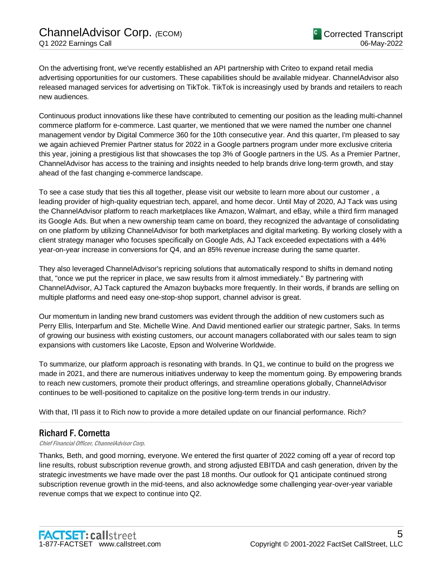On the advertising front, we've recently established an API partnership with Criteo to expand retail media advertising opportunities for our customers. These capabilities should be available midyear. ChannelAdvisor also released managed services for advertising on TikTok. TikTok is increasingly used by brands and retailers to reach new audiences.

Continuous product innovations like these have contributed to cementing our position as the leading multi-channel commerce platform for e-commerce. Last quarter, we mentioned that we were named the number one channel management vendor by Digital Commerce 360 for the 10th consecutive year. And this quarter, I'm pleased to say we again achieved Premier Partner status for 2022 in a Google partners program under more exclusive criteria this year, joining a prestigious list that showcases the top 3% of Google partners in the US. As a Premier Partner, ChannelAdvisor has access to the training and insights needed to help brands drive long-term growth, and stay ahead of the fast changing e-commerce landscape.

To see a case study that ties this all together, please visit our website to learn more about our customer , a leading provider of high-quality equestrian tech, apparel, and home decor. Until May of 2020, AJ Tack was using the ChannelAdvisor platform to reach marketplaces like Amazon, Walmart, and eBay, while a third firm managed its Google Ads. But when a new ownership team came on board, they recognized the advantage of consolidating on one platform by utilizing ChannelAdvisor for both marketplaces and digital marketing. By working closely with a client strategy manager who focuses specifically on Google Ads, AJ Tack exceeded expectations with a 44% year-on-year increase in conversions for Q4, and an 85% revenue increase during the same quarter.

They also leveraged ChannelAdvisor's repricing solutions that automatically respond to shifts in demand noting that, "once we put the repricer in place, we saw results from it almost immediately." By partnering with ChannelAdvisor, AJ Tack captured the Amazon buybacks more frequently. In their words, if brands are selling on multiple platforms and need easy one-stop-shop support, channel advisor is great.

Our momentum in landing new brand customers was evident through the addition of new customers such as Perry Ellis, Interparfum and Ste. Michelle Wine. And David mentioned earlier our strategic partner, Saks. In terms of growing our business with existing customers, our account managers collaborated with our sales team to sign expansions with customers like Lacoste, Epson and Wolverine Worldwide.

To summarize, our platform approach is resonating with brands. In Q1, we continue to build on the progress we made in 2021, and there are numerous initiatives underway to keep the momentum going. By empowering brands to reach new customers, promote their product offerings, and streamline operations globally, ChannelAdvisor continues to be well-positioned to capitalize on the positive long-term trends in our industry.

.....................................................................................................................................................................................................................................................................

With that, I'll pass it to Rich now to provide a more detailed update on our financial performance. Rich?

## Richard F. Cornetta

Chief Financial Officer, ChannelAdvisor Corp.

Thanks, Beth, and good morning, everyone. We entered the first quarter of 2022 coming off a year of record top line results, robust subscription revenue growth, and strong adjusted EBITDA and cash generation, driven by the strategic investments we have made over the past 18 months. Our outlook for Q1 anticipate continued strong subscription revenue growth in the mid-teens, and also acknowledge some challenging year-over-year variable revenue comps that we expect to continue into Q2.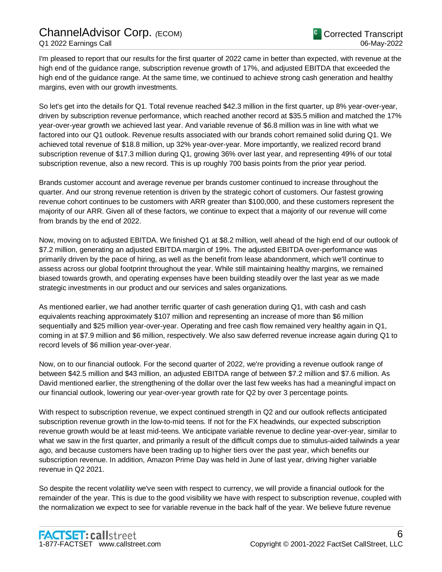I'm pleased to report that our results for the first quarter of 2022 came in better than expected, with revenue at the high end of the guidance range, subscription revenue growth of 17%, and adjusted EBITDA that exceeded the high end of the guidance range. At the same time, we continued to achieve strong cash generation and healthy margins, even with our growth investments.

So let's get into the details for Q1. Total revenue reached \$42.3 million in the first quarter, up 8% year-over-year, driven by subscription revenue performance, which reached another record at \$35.5 million and matched the 17% year-over-year growth we achieved last year. And variable revenue of \$6.8 million was in line with what we factored into our Q1 outlook. Revenue results associated with our brands cohort remained solid during Q1. We achieved total revenue of \$18.8 million, up 32% year-over-year. More importantly, we realized record brand subscription revenue of \$17.3 million during Q1, growing 36% over last year, and representing 49% of our total subscription revenue, also a new record. This is up roughly 700 basis points from the prior year period.

Brands customer account and average revenue per brands customer continued to increase throughout the quarter. And our strong revenue retention is driven by the strategic cohort of customers. Our fastest growing revenue cohort continues to be customers with ARR greater than \$100,000, and these customers represent the majority of our ARR. Given all of these factors, we continue to expect that a majority of our revenue will come from brands by the end of 2022.

Now, moving on to adjusted EBITDA. We finished Q1 at \$8.2 million, well ahead of the high end of our outlook of \$7.2 million, generating an adjusted EBITDA margin of 19%. The adjusted EBITDA over-performance was primarily driven by the pace of hiring, as well as the benefit from lease abandonment, which we'll continue to assess across our global footprint throughout the year. While still maintaining healthy margins, we remained biased towards growth, and operating expenses have been building steadily over the last year as we made strategic investments in our product and our services and sales organizations.

As mentioned earlier, we had another terrific quarter of cash generation during Q1, with cash and cash equivalents reaching approximately \$107 million and representing an increase of more than \$6 million sequentially and \$25 million year-over-year. Operating and free cash flow remained very healthy again in Q1, coming in at \$7.9 million and \$6 million, respectively. We also saw deferred revenue increase again during Q1 to record levels of \$6 million year-over-year.

Now, on to our financial outlook. For the second quarter of 2022, we're providing a revenue outlook range of between \$42.5 million and \$43 million, an adjusted EBITDA range of between \$7.2 million and \$7.6 million. As David mentioned earlier, the strengthening of the dollar over the last few weeks has had a meaningful impact on our financial outlook, lowering our year-over-year growth rate for Q2 by over 3 percentage points.

With respect to subscription revenue, we expect continued strength in Q2 and our outlook reflects anticipated subscription revenue growth in the low-to-mid teens. If not for the FX headwinds, our expected subscription revenue growth would be at least mid-teens. We anticipate variable revenue to decline year-over-year, similar to what we saw in the first quarter, and primarily a result of the difficult comps due to stimulus-aided tailwinds a year ago, and because customers have been trading up to higher tiers over the past year, which benefits our subscription revenue. In addition, Amazon Prime Day was held in June of last year, driving higher variable revenue in Q2 2021.

So despite the recent volatility we've seen with respect to currency, we will provide a financial outlook for the remainder of the year. This is due to the good visibility we have with respect to subscription revenue, coupled with the normalization we expect to see for variable revenue in the back half of the year. We believe future revenue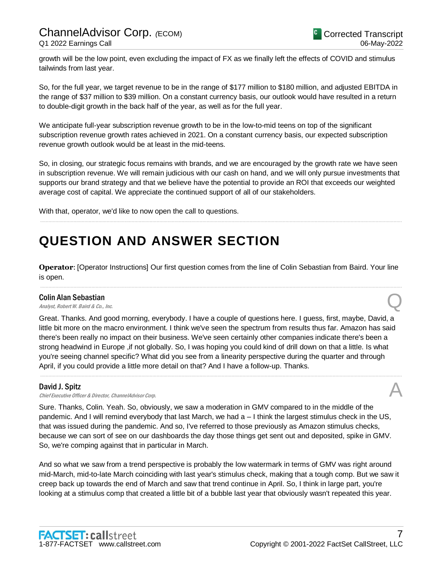growth will be the low point, even excluding the impact of FX as we finally left the effects of COVID and stimulus tailwinds from last year.

So, for the full year, we target revenue to be in the range of \$177 million to \$180 million, and adjusted EBITDA in the range of \$37 million to \$39 million. On a constant currency basis, our outlook would have resulted in a return to double-digit growth in the back half of the year, as well as for the full year.

We anticipate full-year subscription revenue growth to be in the low-to-mid teens on top of the significant subscription revenue growth rates achieved in 2021. On a constant currency basis, our expected subscription revenue growth outlook would be at least in the mid-teens.

So, in closing, our strategic focus remains with brands, and we are encouraged by the growth rate we have seen in subscription revenue. We will remain judicious with our cash on hand, and we will only pursue investments that supports our brand strategy and that we believe have the potential to provide an ROI that exceeds our weighted average cost of capital. We appreciate the continued support of all of our stakeholders.

.....................................................................................................................................................................................................................................................................

With that, operator, we'd like to now open the call to questions.

## **QUESTION AND ANSWER SECTION**

**Operator**: [Operator Instructions] Our first question comes from the line of Colin Sebastian from Baird. Your line is open. .....................................................................................................................................................................................................................................................................

#### Colin Alan Sebastian

**Colin Alan Sebastian**<br>Analyst, Robert W. Baird & Co., Inc. Quality Co., Let  $\Omega$ 

Great. Thanks. And good morning, everybody. I have a couple of questions here. I guess, first, maybe, David, a little bit more on the macro environment. I think we've seen the spectrum from results thus far. Amazon has said there's been really no impact on their business. We've seen certainly other companies indicate there's been a strong headwind in Europe ,if not globally. So, I was hoping you could kind of drill down on that a little. Is what you're seeing channel specific? What did you see from a linearity perspective during the quarter and through April, if you could provide a little more detail on that? And I have a follow-up. Thanks.

.....................................................................................................................................................................................................................................................................

#### David J. Spitz

David J. Spitz<br>Chief Executive Officer & Director, ChannelAdvisor Corp.

Sure. Thanks, Colin. Yeah. So, obviously, we saw a moderation in GMV compared to in the middle of the pandemic. And I will remind everybody that last March, we had a – I think the largest stimulus check in the US, that was issued during the pandemic. And so, I've referred to those previously as Amazon stimulus checks, because we can sort of see on our dashboards the day those things get sent out and deposited, spike in GMV. So, we're comping against that in particular in March.

And so what we saw from a trend perspective is probably the low watermark in terms of GMV was right around mid-March, mid-to-late March coinciding with last year's stimulus check, making that a tough comp. But we saw it creep back up towards the end of March and saw that trend continue in April. So, I think in large part, you're looking at a stimulus comp that created a little bit of a bubble last year that obviously wasn't repeated this year.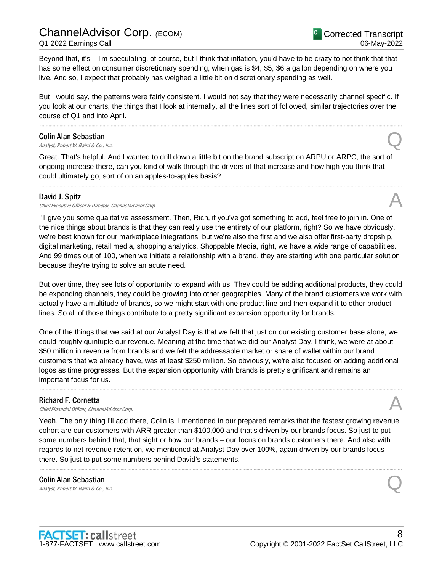ChannelAdvisor Corp. *(*ECOM) Q1 2022 Earnings Call

Beyond that, it's – I'm speculating, of course, but I think that inflation, you'd have to be crazy to not think that that has some effect on consumer discretionary spending, when gas is \$4, \$5, \$6 a gallon depending on where you live. And so, I expect that probably has weighed a little bit on discretionary spending as well.

But I would say, the patterns were fairly consistent. I would not say that they were necessarily channel specific. If you look at our charts, the things that I look at internally, all the lines sort of followed, similar trajectories over the course of Q1 and into April.

.....................................................................................................................................................................................................................................................................

## Colin Alan Sebastian **Colin Alan Sebastian**<br>Analyst, Robert W. Baird & Co., Inc. Quality Analyst, Robert W. Baird & Co., Inc.

Great. That's helpful. And I wanted to drill down a little bit on the brand subscription ARPU or ARPC, the sort of ongoing increase there, can you kind of walk through the drivers of that increase and how high you think that could ultimately go, sort of on an apples-to-apples basis?

.....................................................................................................................................................................................................................................................................

#### David J. Spitz

David J. Spitz<br>Chief Executive Officer & Director, ChannelAdvisor Corp. And The Context of the Security of the Chief Executive

I'll give you some qualitative assessment. Then, Rich, if you've got something to add, feel free to join in. One of the nice things about brands is that they can really use the entirety of our platform, right? So we have obviously, we're best known for our marketplace integrations, but we're also the first and we also offer first-party dropship, digital marketing, retail media, shopping analytics, Shoppable Media, right, we have a wide range of capabilities. And 99 times out of 100, when we initiate a relationship with a brand, they are starting with one particular solution because they're trying to solve an acute need.

But over time, they see lots of opportunity to expand with us. They could be adding additional products, they could be expanding channels, they could be growing into other geographies. Many of the brand customers we work with actually have a multitude of brands, so we might start with one product line and then expand it to other product lines. So all of those things contribute to a pretty significant expansion opportunity for brands.

One of the things that we said at our Analyst Day is that we felt that just on our existing customer base alone, we could roughly quintuple our revenue. Meaning at the time that we did our Analyst Day, I think, we were at about \$50 million in revenue from brands and we felt the addressable market or share of wallet within our brand customers that we already have, was at least \$250 million. So obviously, we're also focused on adding additional logos as time progresses. But the expansion opportunity with brands is pretty significant and remains an important focus for us.

.....................................................................................................................................................................................................................................................................

#### Richard F. Cornetta

**Richard F. Cornetta**<br>Chief Financial Officer, ChannelAdvisor Corp.  $\mathcal{A}$ 

Yeah. The only thing I'll add there, Colin is, I mentioned in our prepared remarks that the fastest growing revenue cohort are our customers with ARR greater than \$100,000 and that's driven by our brands focus. So just to put some numbers behind that, that sight or how our brands – our focus on brands customers there. And also with regards to net revenue retention, we mentioned at Analyst Day over 100%, again driven by our brands focus there. So just to put some numbers behind David's statements.

.....................................................................................................................................................................................................................................................................

## Colin Alan Sebastian **Colin Alan Sebastian**<br>Analyst, Robert W. Baird & Co., Inc. Quality Co., Let  $Q$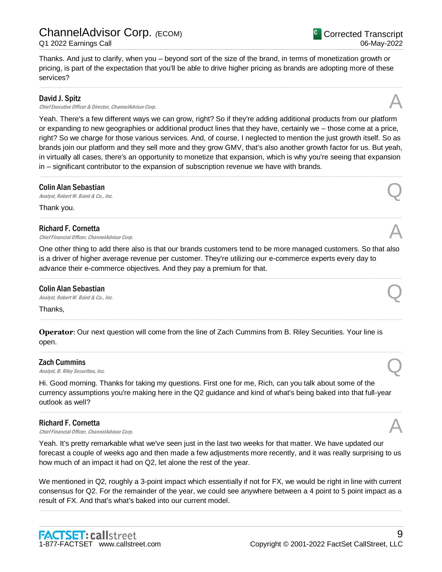Thanks. And just to clarify, when you – beyond sort of the size of the brand, in terms of monetization growth or pricing, is part of the expectation that you'll be able to drive higher pricing as brands are adopting more of these services?

.....................................................................................................................................................................................................................................................................

#### David J. Spitz

David J. Spitz<br>Chief Executive Officer & Director, ChannelAdvisor Corp.

Yeah. There's a few different ways we can grow, right? So if they're adding additional products from our platform or expanding to new geographies or additional product lines that they have, certainly we – those come at a price, right? So we charge for those various services. And, of course, I neglected to mention the just growth itself. So as brands join our platform and they sell more and they grow GMV, that's also another growth factor for us. But yeah, in virtually all cases, there's an opportunity to monetize that expansion, which is why you're seeing that expansion in – significant contributor to the expansion of subscription revenue we have with brands.

.....................................................................................................................................................................................................................................................................

.....................................................................................................................................................................................................................................................................

## Colin Alan Sebastian **Colin Alan Sebastian**<br>Analyst, Robert W. Baird & Co., Inc. Quality Co., Let  $\Omega$

Thank you.

#### Richard F. Cornetta

**Richard F. Cornetta**<br>Chief Financial Officer, ChannelAdvisor Corp.  $\mathcal{A}$ 

One other thing to add there also is that our brands customers tend to be more managed customers. So that also is a driver of higher average revenue per customer. They're utilizing our e-commerce experts every day to advance their e-commerce objectives. And they pay a premium for that.

.....................................................................................................................................................................................................................................................................

.....................................................................................................................................................................................................................................................................

.....................................................................................................................................................................................................................................................................

## Colin Alan Sebastian **Colin Alan Sebastian**<br>Analyst, Robert W. Baird & Co., Inc. Quality Co., Let  $\Omega$

Thanks,

**Operator**: Our next question will come from the line of Zach Cummins from B. Riley Securities. Your line is open.

#### Zach Cummins

**Zach Cummins**<br>Analyst, B. Riley Securities, Inc.  $\bigotimes$ 

Hi. Good morning. Thanks for taking my questions. First one for me, Rich, can you talk about some of the currency assumptions you're making here in the Q2 guidance and kind of what's being baked into that full-year outlook as well?

#### Richard F. Cornetta

**Richard F. Cornetta**<br>Chief Financial Officer, ChannelAdvisor Corp.  $\mathcal{A}$ 

Yeah. It's pretty remarkable what we've seen just in the last two weeks for that matter. We have updated our forecast a couple of weeks ago and then made a few adjustments more recently, and it was really surprising to us how much of an impact it had on Q2, let alone the rest of the year.

.....................................................................................................................................................................................................................................................................

We mentioned in Q2, roughly a 3-point impact which essentially if not for FX, we would be right in line with current consensus for Q2. For the remainder of the year, we could see anywhere between a 4 point to 5 point impact as a result of FX. And that's what's baked into our current model.

.....................................................................................................................................................................................................................................................................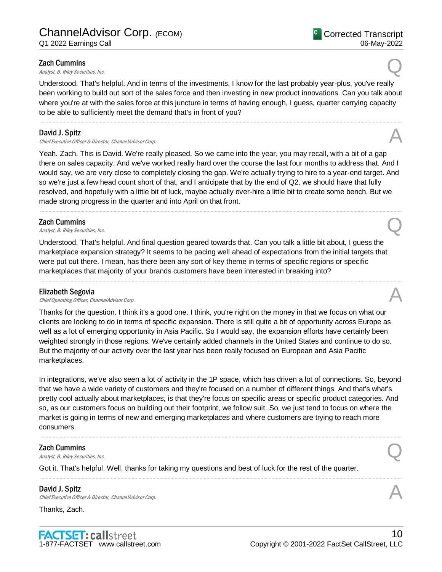#### Zach Cummins

**Zach Cummins**<br>Analyst, B. Riley Securities, Inc.  $\bigotimes$ 

Understood. That's helpful. And in terms of the investments, I know for the last probably year-plus, you've really been working to build out sort of the sales force and then investing in new product innovations. Can you talk about where you're at with the sales force at this juncture in terms of having enough, I guess, quarter carrying capacity to be able to sufficiently meet the demand that's in front of you?

.....................................................................................................................................................................................................................................................................

#### David J. Spitz

David J. Spitz<br>Chief Executive Officer & Director, ChannelAdvisor Corp. And The Context of the Security of the Chief Executive

Yeah. Zach. This is David. We're really pleased. So we came into the year, you may recall, with a bit of a gap there on sales capacity. And we've worked really hard over the course the last four months to address that. And I would say, we are very close to completely closing the gap. We're actually trying to hire to a year-end target. And so we're just a few head count short of that, and I anticipate that by the end of Q2, we should have that fully resolved, and hopefully with a little bit of luck, maybe actually over-hire a little bit to create some bench. But we made strong progress in the quarter and into April on that front.

.....................................................................................................................................................................................................................................................................

#### Zach Cummins

**Zach Cummins**<br>Analyst, B. Riley Securities, Inc.  $\bigotimes$ 

Understood. That's helpful. And final question geared towards that. Can you talk a little bit about, I guess the marketplace expansion strategy? It seems to be pacing well ahead of expectations from the initial targets that were put out there. I mean, has there been any sort of key theme in terms of specific regions or specific marketplaces that majority of your brands customers have been interested in breaking into?

.....................................................................................................................................................................................................................................................................

#### Elizabeth Segovia

**Elizabeth Segovia**<br>Chief Operating Officer, ChannelAdvisor Corp.

Thanks for the question. I think it's a good one. I think, you're right on the money in that we focus on what our clients are looking to do in terms of specific expansion. There is still quite a bit of opportunity across Europe as well as a lot of emerging opportunity in Asia Pacific. So I would say, the expansion efforts have certainly been weighted strongly in those regions. We've certainly added channels in the United States and continue to do so. But the majority of our activity over the last year has been really focused on European and Asia Pacific marketplaces.

In integrations, we've also seen a lot of activity in the 1P space, which has driven a lot of connections. So, beyond that we have a wide variety of customers and they're focused on a number of different things. And that's what's pretty cool actually about marketplaces, is that they're focus on specific areas or specific product categories. And so, as our customers focus on building out their footprint, we follow suit. So, we just tend to focus on where the market is going in terms of new and emerging marketplaces and where customers are trying to reach more consumers.

.....................................................................................................................................................................................................................................................................

.....................................................................................................................................................................................................................................................................

#### Zach Cummins

**Zach Cummins**<br>Analyst, B. Riley Securities, Inc.  $\bigotimes$ 

Got it. That's helpful. Well, thanks for taking my questions and best of luck for the rest of the quarter.

## David J. Spitz

Chief Executive Officer & Director, ChannelAdvisor Corp.

Thanks, Zach.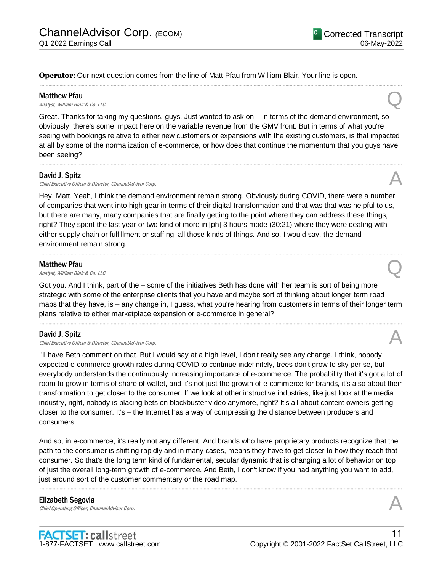**Operator**: Our next question comes from the line of Matt Pfau from William Blair. Your line is open.

#### Matthew Pfau

**Matthew Pfau**<br>Analyst, William Blair & Co. LLC Quantum Blair & Co. LLC

Great. Thanks for taking my questions, guys. Just wanted to ask on – in terms of the demand environment, so obviously, there's some impact here on the variable revenue from the GMV front. But in terms of what you're seeing with bookings relative to either new customers or expansions with the existing customers, is that impacted at all by some of the normalization of e-commerce, or how does that continue the momentum that you guys have been seeing?

.....................................................................................................................................................................................................................................................................

.....................................................................................................................................................................................................................................................................

#### David J. Spitz

David J. Spitz<br>Chief Executive Officer & Director, ChannelAdvisor Corp.

Hey, Matt. Yeah, I think the demand environment remain strong. Obviously during COVID, there were a number of companies that went into high gear in terms of their digital transformation and that was that was helpful to us, but there are many, many companies that are finally getting to the point where they can address these things, right? They spent the last year or two kind of more in [ph] 3 hours mode (30:21) where they were dealing with either supply chain or fulfillment or staffing, all those kinds of things. And so, I would say, the demand environment remain strong.

#### Matthew Pfau

**Matthew Pfau**<br>Analyst, William Blair & Co. LLC Quantum Blair & Co. LLC

Got you. And I think, part of the – some of the initiatives Beth has done with her team is sort of being more strategic with some of the enterprise clients that you have and maybe sort of thinking about longer term road maps that they have, is – any change in, I guess, what you're hearing from customers in terms of their longer term plans relative to either marketplace expansion or e-commerce in general?

.....................................................................................................................................................................................................................................................................

.....................................................................................................................................................................................................................................................................

#### David J. Spitz

David J. Spitz<br>Chief Executive Officer & Director, ChannelAdvisor Corp.

I'll have Beth comment on that. But I would say at a high level, I don't really see any change. I think, nobody expected e-commerce growth rates during COVID to continue indefinitely, trees don't grow to sky per se, but everybody understands the continuously increasing importance of e-commerce. The probability that it's got a lot of room to grow in terms of share of wallet, and it's not just the growth of e-commerce for brands, it's also about their transformation to get closer to the consumer. If we look at other instructive industries, like just look at the media industry, right, nobody is placing bets on blockbuster video anymore, right? It's all about content owners getting closer to the consumer. It's – the Internet has a way of compressing the distance between producers and consumers.

And so, in e-commerce, it's really not any different. And brands who have proprietary products recognize that the path to the consumer is shifting rapidly and in many cases, means they have to get closer to how they reach that consumer. So that's the long term kind of fundamental, secular dynamic that is changing a lot of behavior on top of just the overall long-term growth of e-commerce. And Beth, I don't know if you had anything you want to add, just around sort of the customer commentary or the road map.

.....................................................................................................................................................................................................................................................................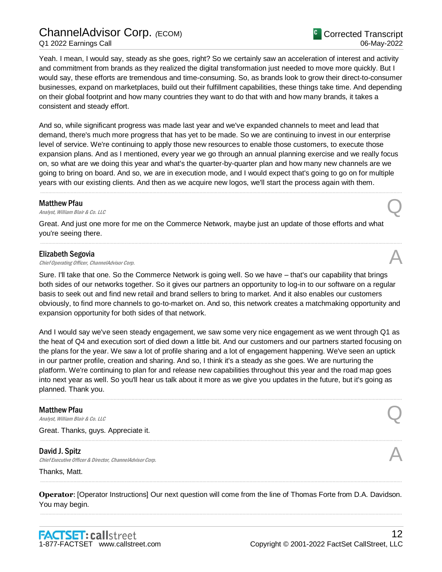## ChannelAdvisor Corp. *(*ECOM) Q1 2022 Earnings Call

Yeah. I mean, I would say, steady as she goes, right? So we certainly saw an acceleration of interest and activity and commitment from brands as they realized the digital transformation just needed to move more quickly. But I would say, these efforts are tremendous and time-consuming. So, as brands look to grow their direct-to-consumer businesses, expand on marketplaces, build out their fulfillment capabilities, these things take time. And depending on their global footprint and how many countries they want to do that with and how many brands, it takes a consistent and steady effort.

And so, while significant progress was made last year and we've expanded channels to meet and lead that demand, there's much more progress that has yet to be made. So we are continuing to invest in our enterprise level of service. We're continuing to apply those new resources to enable those customers, to execute those expansion plans. And as I mentioned, every year we go through an annual planning exercise and we really focus on, so what are we doing this year and what's the quarter-by-quarter plan and how many new channels are we going to bring on board. And so, we are in execution mode, and I would expect that's going to go on for multiple years with our existing clients. And then as we acquire new logos, we'll start the process again with them.

.....................................................................................................................................................................................................................................................................

.....................................................................................................................................................................................................................................................................

#### Matthew Pfau

**Matthew Pfau**<br>Analyst, William Blair & Co. LLC Quantum Blair & Co. LLC

Great. And just one more for me on the Commerce Network, maybe just an update of those efforts and what you're seeing there.

#### Elizabeth Segovia

**Elizabeth Segovia**<br>Chief Operating Officer, ChannelAdvisor Corp.

Sure. I'll take that one. So the Commerce Network is going well. So we have – that's our capability that brings both sides of our networks together. So it gives our partners an opportunity to log-in to our software on a regular basis to seek out and find new retail and brand sellers to bring to market. And it also enables our customers obviously, to find more channels to go-to-market on. And so, this network creates a matchmaking opportunity and expansion opportunity for both sides of that network.

And I would say we've seen steady engagement, we saw some very nice engagement as we went through Q1 as the heat of Q4 and execution sort of died down a little bit. And our customers and our partners started focusing on the plans for the year. We saw a lot of profile sharing and a lot of engagement happening. We've seen an uptick in our partner profile, creation and sharing. And so, I think it's a steady as she goes. We are nurturing the platform. We're continuing to plan for and release new capabilities throughout this year and the road map goes into next year as well. So you'll hear us talk about it more as we give you updates in the future, but it's going as planned. Thank you.

.....................................................................................................................................................................................................................................................................

.....................................................................................................................................................................................................................................................................

#### Matthew Pfau

**Matthew Pfau**<br>Analyst, William Blair & Co. LLC Quantum Blair & Co. LLC

Great. Thanks, guys. Appreciate it.

#### David J. Spitz

Chief Executive Officer & Director, ChannelAdvisor Corp.

Thanks, Matt.

**Operator**: [Operator Instructions] Our next question will come from the line of Thomas Forte from D.A. Davidson. You may begin. .....................................................................................................................................................................................................................................................................

.....................................................................................................................................................................................................................................................................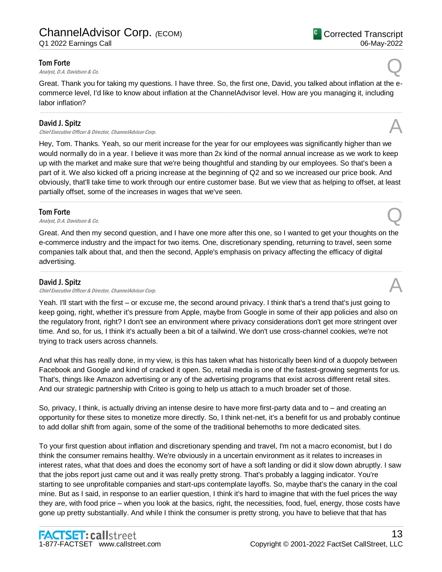#### Tom Forte

**Tom Forte Q**<br>Analyst, D.A. Davidson & Co.

<sup>C</sup> Corrected Transcript

06-May-2022

Great. Thank you for taking my questions. I have three. So, the first one, David, you talked about inflation at the ecommerce level, I'd like to know about inflation at the ChannelAdvisor level. How are you managing it, including labor inflation?

.....................................................................................................................................................................................................................................................................

## David J. Spitz

David J. Spitz<br>Chief Executive Officer & Director, ChannelAdvisor Corp. And The Content of the Chief Executive Officer & Director, ChannelAdvisor Corp.

Hey, Tom. Thanks. Yeah, so our merit increase for the year for our employees was significantly higher than we would normally do in a year. I believe it was more than 2x kind of the normal annual increase as we work to keep up with the market and make sure that we're being thoughtful and standing by our employees. So that's been a part of it. We also kicked off a pricing increase at the beginning of Q2 and so we increased our price book. And obviously, that'll take time to work through our entire customer base. But we view that as helping to offset, at least partially offset, some of the increases in wages that we've seen.

.....................................................................................................................................................................................................................................................................

#### Tom Forte

**Tom Forte Q**<br>Analyst, D.A. Davidson & Co.

Great. And then my second question, and I have one more after this one, so I wanted to get your thoughts on the e-commerce industry and the impact for two items. One, discretionary spending, returning to travel, seen some companies talk about that, and then the second, Apple's emphasis on privacy affecting the efficacy of digital advertising.

.....................................................................................................................................................................................................................................................................

## David J. Spitz

David J. Spitz<br>Chief Executive Officer & Director, ChannelAdvisor Corp.

Yeah. I'll start with the first – or excuse me, the second around privacy. I think that's a trend that's just going to keep going, right, whether it's pressure from Apple, maybe from Google in some of their app policies and also on the regulatory front, right? I don't see an environment where privacy considerations don't get more stringent over time. And so, for us, I think it's actually been a bit of a tailwind. We don't use cross-channel cookies, we're not trying to track users across channels.

And what this has really done, in my view, is this has taken what has historically been kind of a duopoly between Facebook and Google and kind of cracked it open. So, retail media is one of the fastest-growing segments for us. That's, things like Amazon advertising or any of the advertising programs that exist across different retail sites. And our strategic partnership with Criteo is going to help us attach to a much broader set of those.

So, privacy, I think, is actually driving an intense desire to have more first-party data and to – and creating an opportunity for these sites to monetize more directly. So, I think net-net, it's a benefit for us and probably continue to add dollar shift from again, some of the some of the traditional behemoths to more dedicated sites.

To your first question about inflation and discretionary spending and travel, I'm not a macro economist, but I do think the consumer remains healthy. We're obviously in a uncertain environment as it relates to increases in interest rates, what that does and does the economy sort of have a soft landing or did it slow down abruptly. I saw that the jobs report just came out and it was really pretty strong. That's probably a lagging indicator. You're starting to see unprofitable companies and start-ups contemplate layoffs. So, maybe that's the canary in the coal mine. But as I said, in response to an earlier question, I think it's hard to imagine that with the fuel prices the way they are, with food price – when you look at the basics, right, the necessities, food, fuel, energy, those costs have gone up pretty substantially. And while I think the consumer is pretty strong, you have to believe that that has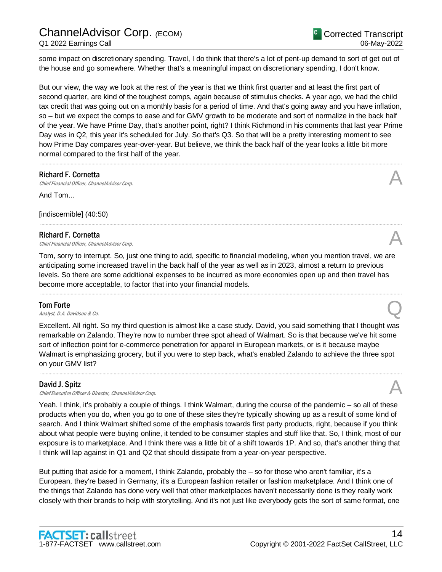some impact on discretionary spending. Travel, I do think that there's a lot of pent-up demand to sort of get out of the house and go somewhere. Whether that's a meaningful impact on discretionary spending, I don't know.

But our view, the way we look at the rest of the year is that we think first quarter and at least the first part of second quarter, are kind of the toughest comps, again because of stimulus checks. A year ago, we had the child tax credit that was going out on a monthly basis for a period of time. And that's going away and you have inflation, so – but we expect the comps to ease and for GMV growth to be moderate and sort of normalize in the back half of the year. We have Prime Day, that's another point, right? I think Richmond in his comments that last year Prime Day was in Q2, this year it's scheduled for July. So that's Q3. So that will be a pretty interesting moment to see how Prime Day compares year-over-year. But believe, we think the back half of the year looks a little bit more normal compared to the first half of the year.

.....................................................................................................................................................................................................................................................................

.....................................................................................................................................................................................................................................................................

#### Richard F. Cornetta

**Richard F. Cornetta**<br>Chief Financial Officer, ChannelAdvisor Corp.  $\mathcal{A}$ And Tom...

[indiscernible] (40:50)

#### Richard F. Cornetta

**Richard F. Cornetta**<br>Chief Financial Officer, ChannelAdvisor Corp.  $\mathcal{A}$ 

Tom, sorry to interrupt. So, just one thing to add, specific to financial modeling, when you mention travel, we are anticipating some increased travel in the back half of the year as well as in 2023, almost a return to previous levels. So there are some additional expenses to be incurred as more economies open up and then travel has become more acceptable, to factor that into your financial models.

.....................................................................................................................................................................................................................................................................

#### Tom Forte

**Tom Forte Q**<br>Analyst, D.A. Davidson & Co.

Excellent. All right. So my third question is almost like a case study. David, you said something that I thought was remarkable on Zalando. They're now to number three spot ahead of Walmart. So is that because we've hit some sort of inflection point for e-commerce penetration for apparel in European markets, or is it because maybe Walmart is emphasizing grocery, but if you were to step back, what's enabled Zalando to achieve the three spot on your GMV list?

.....................................................................................................................................................................................................................................................................

## David J. Spitz

Chief Executive Officer & Director, ChannelAdvisor Corp.

Yeah. I think, it's probably a couple of things. I think Walmart, during the course of the pandemic – so all of these products when you do, when you go to one of these sites they're typically showing up as a result of some kind of search. And I think Walmart shifted some of the emphasis towards first party products, right, because if you think about what people were buying online, it tended to be consumer staples and stuff like that. So, I think, most of our exposure is to marketplace. And I think there was a little bit of a shift towards 1P. And so, that's another thing that I think will lap against in Q1 and Q2 that should dissipate from a year-on-year perspective.

But putting that aside for a moment, I think Zalando, probably the – so for those who aren't familiar, it's a European, they're based in Germany, it's a European fashion retailer or fashion marketplace. And I think one of the things that Zalando has done very well that other marketplaces haven't necessarily done is they really work closely with their brands to help with storytelling. And it's not just like everybody gets the sort of same format, one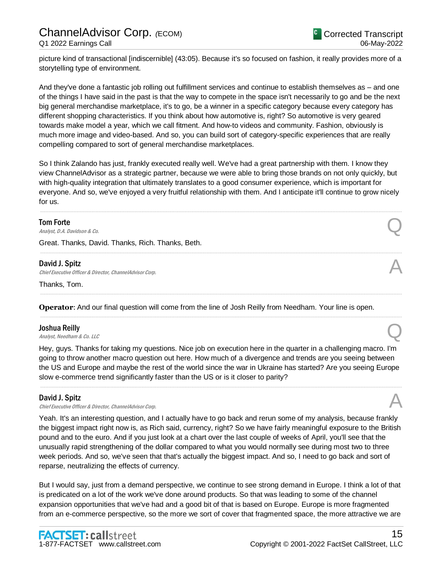picture kind of transactional [indiscernible] (43:05). Because it's so focused on fashion, it really provides more of a storytelling type of environment.

And they've done a fantastic job rolling out fulfillment services and continue to establish themselves as – and one of the things I have said in the past is that the way to compete in the space isn't necessarily to go and be the next big general merchandise marketplace, it's to go, be a winner in a specific category because every category has different shopping characteristics. If you think about how automotive is, right? So automotive is very geared towards make model a year, which we call fitment. And how-to videos and community. Fashion, obviously is much more image and video-based. And so, you can build sort of category-specific experiences that are really compelling compared to sort of general merchandise marketplaces.

So I think Zalando has just, frankly executed really well. We've had a great partnership with them. I know they view ChannelAdvisor as a strategic partner, because we were able to bring those brands on not only quickly, but with high-quality integration that ultimately translates to a good consumer experience, which is important for everyone. And so, we've enjoyed a very fruitful relationship with them. And I anticipate it'll continue to grow nicely for us.

.....................................................................................................................................................................................................................................................................

.....................................................................................................................................................................................................................................................................

.....................................................................................................................................................................................................................................................................

.....................................................................................................................................................................................................................................................................

#### Tom Forte

**Tom Forte Q**<br>Analyst, D.A. Davidson & Co.

Great. Thanks, David. Thanks, Rich. Thanks, Beth.

#### David J. Spitz

David J. Spitz<br>Chief Executive Officer & Director, ChannelAdvisor Corp. And The Content of the Chief Executive Officer & Director, ChannelAdvisor Corp.

Thanks, Tom.

**Operator**: And our final question will come from the line of Josh Reilly from Needham. Your line is open.

#### Joshua Reilly

**Joshua Reilly**<br>Analyst, Needham & Co. LLC

Hey, guys. Thanks for taking my questions. Nice job on execution here in the quarter in a challenging macro. I'm going to throw another macro question out here. How much of a divergence and trends are you seeing between the US and Europe and maybe the rest of the world since the war in Ukraine has started? Are you seeing Europe slow e-commerce trend significantly faster than the US or is it closer to parity?

.....................................................................................................................................................................................................................................................................

#### David J. Spitz

David J. Spitz<br>Chief Executive Officer & Director, ChannelAdvisor Corp. And The Context of the Security of the Chief Executive

Yeah. It's an interesting question, and I actually have to go back and rerun some of my analysis, because frankly the biggest impact right now is, as Rich said, currency, right? So we have fairly meaningful exposure to the British pound and to the euro. And if you just look at a chart over the last couple of weeks of April, you'll see that the unusually rapid strengthening of the dollar compared to what you would normally see during most two to three week periods. And so, we've seen that that's actually the biggest impact. And so, I need to go back and sort of reparse, neutralizing the effects of currency.

But I would say, just from a demand perspective, we continue to see strong demand in Europe. I think a lot of that is predicated on a lot of the work we've done around products. So that was leading to some of the channel expansion opportunities that we've had and a good bit of that is based on Europe. Europe is more fragmented from an e-commerce perspective, so the more we sort of cover that fragmented space, the more attractive we are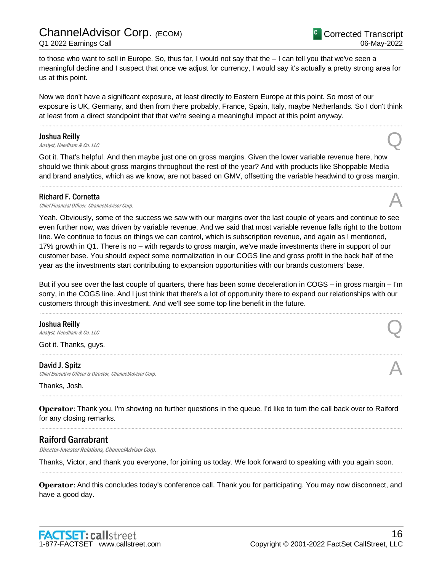to those who want to sell in Europe. So, thus far, I would not say that the – I can tell you that we've seen a meaningful decline and I suspect that once we adjust for currency, I would say it's actually a pretty strong area for us at this point.

Now we don't have a significant exposure, at least directly to Eastern Europe at this point. So most of our exposure is UK, Germany, and then from there probably, France, Spain, Italy, maybe Netherlands. So I don't think at least from a direct standpoint that that we're seeing a meaningful impact at this point anyway.

.....................................................................................................................................................................................................................................................................

#### Joshua Reilly

**Joshua Reilly**<br>Analyst, Needham & Co. LLC

Got it. That's helpful. And then maybe just one on gross margins. Given the lower variable revenue here, how should we think about gross margins throughout the rest of the year? And with products like Shoppable Media and brand analytics, which as we know, are not based on GMV, offsetting the variable headwind to gross margin.

.....................................................................................................................................................................................................................................................................

#### Richard F. Cornetta

**Richard F. Cornetta**<br>Chief Financial Officer, ChannelAdvisor Corp.  $\mathcal{A}$ 

Yeah. Obviously, some of the success we saw with our margins over the last couple of years and continue to see even further now, was driven by variable revenue. And we said that most variable revenue falls right to the bottom line. We continue to focus on things we can control, which is subscription revenue, and again as I mentioned, 17% growth in Q1. There is no – with regards to gross margin, we've made investments there in support of our customer base. You should expect some normalization in our COGS line and gross profit in the back half of the year as the investments start contributing to expansion opportunities with our brands customers' base.

But if you see over the last couple of quarters, there has been some deceleration in COGS – in gross margin – I'm sorry, in the COGS line. And I just think that there's a lot of opportunity there to expand our relationships with our customers through this investment. And we'll see some top line benefit in the future.

.....................................................................................................................................................................................................................................................................

.....................................................................................................................................................................................................................................................................

#### Joshua Reilly

**Joshua Reilly**<br>Analyst, Needham & Co. LLC

Got it. Thanks, guys.

#### David J. Spitz

David J. Spitz<br>Chief Executive Officer & Director, ChannelAdvisor Corp.

Thanks, Josh.

**Operator**: Thank you. I'm showing no further questions in the queue. I'd like to turn the call back over to Raiford for any closing remarks. .....................................................................................................................................................................................................................................................................

.....................................................................................................................................................................................................................................................................

## Raiford Garrabrant

Director-Investor Relations, ChannelAdvisor Corp.

Thanks, Victor, and thank you everyone, for joining us today. We look forward to speaking with you again soon. .....................................................................................................................................................................................................................................................................

**Operator**: And this concludes today's conference call. Thank you for participating. You may now disconnect, and have a good day.